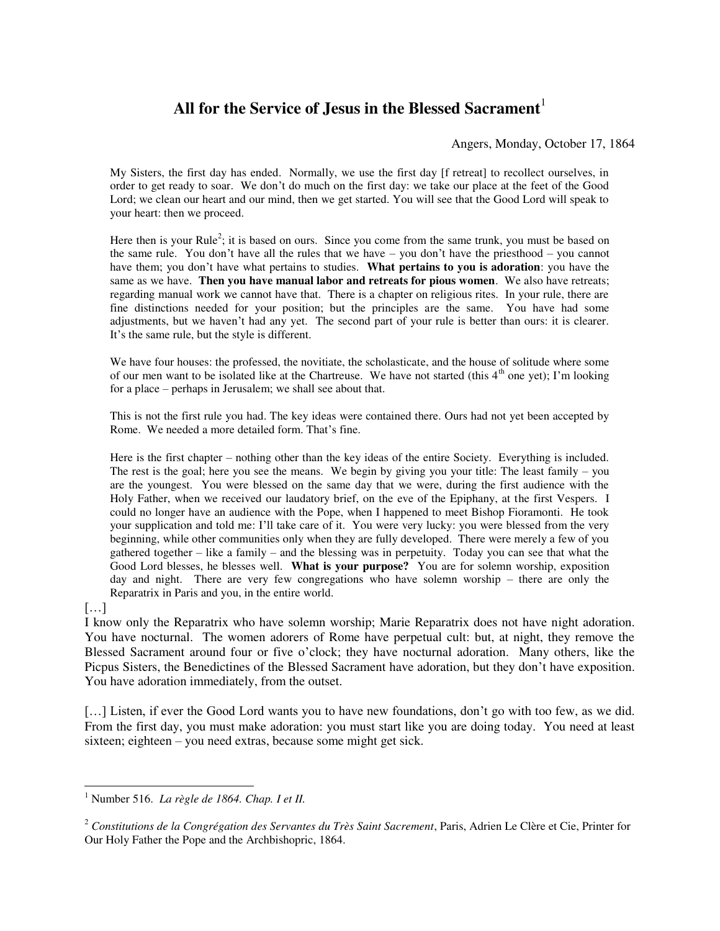# All for the Service of Jesus in the Blessed Sacrament<sup>1</sup>

Angers, Monday, October 17, 1864

My Sisters, the first day has ended. Normally, we use the first day [f retreat] to recollect ourselves, in order to get ready to soar. We don't do much on the first day: we take our place at the feet of the Good Lord; we clean our heart and our mind, then we get started. You will see that the Good Lord will speak to your heart: then we proceed.

Here then is your Rule<sup>2</sup>; it is based on ours. Since you come from the same trunk, you must be based on the same rule. You don't have all the rules that we have – you don't have the priesthood – you cannot have them; you don't have what pertains to studies. **What pertains to you is adoration**: you have the same as we have. **Then you have manual labor and retreats for pious women**. We also have retreats; regarding manual work we cannot have that. There is a chapter on religious rites. In your rule, there are fine distinctions needed for your position; but the principles are the same. You have had some adjustments, but we haven't had any yet. The second part of your rule is better than ours: it is clearer. It's the same rule, but the style is different.

We have four houses: the professed, the novitiate, the scholasticate, and the house of solitude where some of our men want to be isolated like at the Chartreuse. We have not started (this  $4<sup>th</sup>$  one yet); I'm looking for a place – perhaps in Jerusalem; we shall see about that.

This is not the first rule you had. The key ideas were contained there. Ours had not yet been accepted by Rome. We needed a more detailed form. That's fine.

Here is the first chapter – nothing other than the key ideas of the entire Society. Everything is included. The rest is the goal; here you see the means. We begin by giving you your title: The least family – you are the youngest. You were blessed on the same day that we were, during the first audience with the Holy Father, when we received our laudatory brief, on the eve of the Epiphany, at the first Vespers. I could no longer have an audience with the Pope, when I happened to meet Bishop Fioramonti. He took your supplication and told me: I'll take care of it. You were very lucky: you were blessed from the very beginning, while other communities only when they are fully developed. There were merely a few of you gathered together – like a family – and the blessing was in perpetuity. Today you can see that what the Good Lord blesses, he blesses well. **What is your purpose?** You are for solemn worship, exposition day and night. There are very few congregations who have solemn worship – there are only the Reparatrix in Paris and you, in the entire world.

#### […]

I know only the Reparatrix who have solemn worship; Marie Reparatrix does not have night adoration. You have nocturnal. The women adorers of Rome have perpetual cult: but, at night, they remove the Blessed Sacrament around four or five o'clock; they have nocturnal adoration. Many others, like the Picpus Sisters, the Benedictines of the Blessed Sacrament have adoration, but they don't have exposition. You have adoration immediately, from the outset.

[...] Listen, if ever the Good Lord wants you to have new foundations, don't go with too few, as we did. From the first day, you must make adoration: you must start like you are doing today. You need at least sixteen; eighteen – you need extras, because some might get sick.

 1 Number 516. *La règle de 1864. Chap. I et II.* 

<sup>2</sup> *Constitutions de la Congrégation des Servantes du Très Saint Sacrement*, Paris, Adrien Le Clère et Cie, Printer for Our Holy Father the Pope and the Archbishopric, 1864.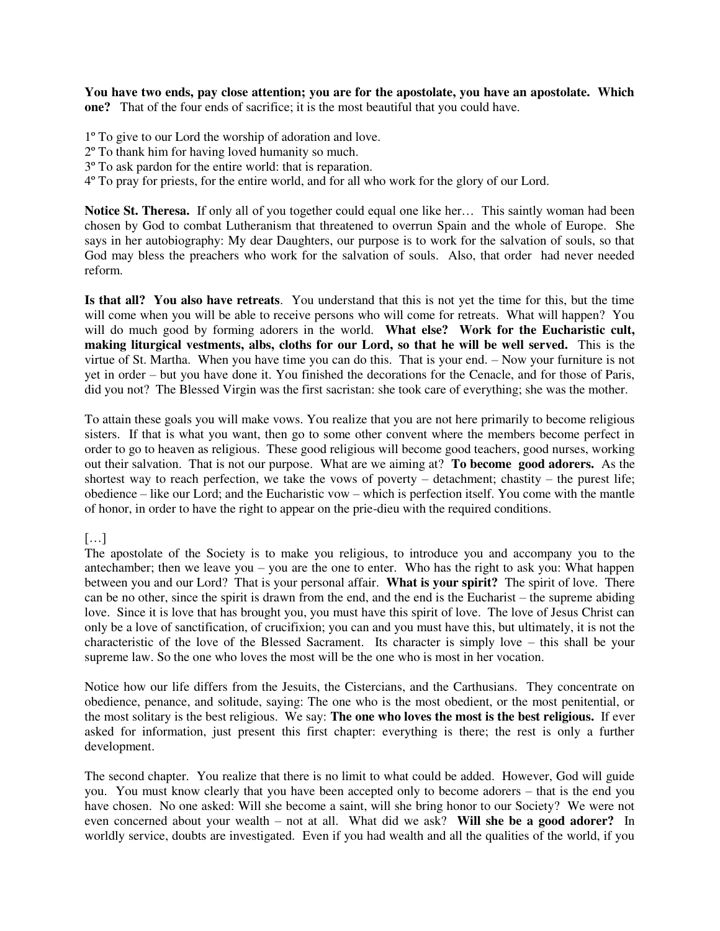**You have two ends, pay close attention; you are for the apostolate, you have an apostolate. Which one?** That of the four ends of sacrifice; it is the most beautiful that you could have.

1º To give to our Lord the worship of adoration and love.

- 2º To thank him for having loved humanity so much.
- 3º To ask pardon for the entire world: that is reparation.
- 4º To pray for priests, for the entire world, and for all who work for the glory of our Lord.

**Notice St. Theresa.** If only all of you together could equal one like her… This saintly woman had been chosen by God to combat Lutheranism that threatened to overrun Spain and the whole of Europe. She says in her autobiography: My dear Daughters, our purpose is to work for the salvation of souls, so that God may bless the preachers who work for the salvation of souls. Also, that order had never needed reform.

**Is that all? You also have retreats**. You understand that this is not yet the time for this, but the time will come when you will be able to receive persons who will come for retreats. What will happen? You will do much good by forming adorers in the world. What else? Work for the Eucharistic cult, **making liturgical vestments, albs, cloths for our Lord, so that he will be well served.** This is the virtue of St. Martha. When you have time you can do this. That is your end. – Now your furniture is not yet in order – but you have done it. You finished the decorations for the Cenacle, and for those of Paris, did you not? The Blessed Virgin was the first sacristan: she took care of everything; she was the mother.

To attain these goals you will make vows. You realize that you are not here primarily to become religious sisters. If that is what you want, then go to some other convent where the members become perfect in order to go to heaven as religious. These good religious will become good teachers, good nurses, working out their salvation. That is not our purpose. What are we aiming at? **To become good adorers.** As the shortest way to reach perfection, we take the vows of poverty – detachment; chastity – the purest life; obedience – like our Lord; and the Eucharistic vow – which is perfection itself. You come with the mantle of honor, in order to have the right to appear on the prie-dieu with the required conditions.

#### $[\dots]$

The apostolate of the Society is to make you religious, to introduce you and accompany you to the antechamber; then we leave you – you are the one to enter. Who has the right to ask you: What happen between you and our Lord? That is your personal affair. **What is your spirit?** The spirit of love. There can be no other, since the spirit is drawn from the end, and the end is the Eucharist – the supreme abiding love. Since it is love that has brought you, you must have this spirit of love. The love of Jesus Christ can only be a love of sanctification, of crucifixion; you can and you must have this, but ultimately, it is not the characteristic of the love of the Blessed Sacrament. Its character is simply love – this shall be your supreme law. So the one who loves the most will be the one who is most in her vocation.

Notice how our life differs from the Jesuits, the Cistercians, and the Carthusians. They concentrate on obedience, penance, and solitude, saying: The one who is the most obedient, or the most penitential, or the most solitary is the best religious. We say: **The one who loves the most is the best religious.** If ever asked for information, just present this first chapter: everything is there; the rest is only a further development.

The second chapter. You realize that there is no limit to what could be added. However, God will guide you. You must know clearly that you have been accepted only to become adorers – that is the end you have chosen. No one asked: Will she become a saint, will she bring honor to our Society? We were not even concerned about your wealth – not at all. What did we ask? **Will she be a good adorer?** In worldly service, doubts are investigated. Even if you had wealth and all the qualities of the world, if you